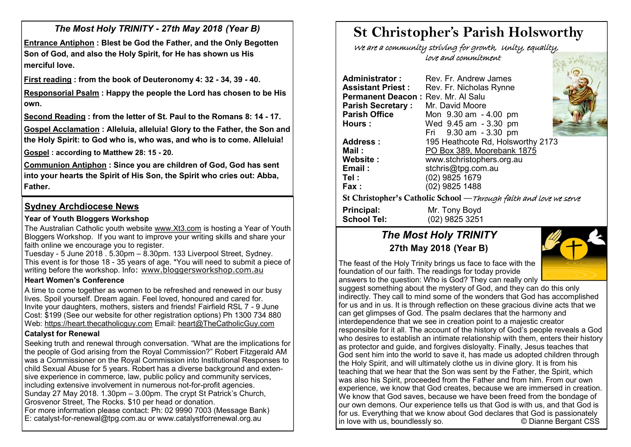*The Most Holy TRINITY - 27th May 2018 (Year B)* 

**Entrance Antiphon : Blest be God the Father, and the Only Begotten Son of God, and also the Holy Spirit, for He has shown us His merciful love.**

**First reading : from the book of Deuteronomy 4: 32 - 34, 39 - 40.** 

**Responsorial Psalm : Happy the people the Lord has chosen to be His own.**

**Second Reading : from the letter of St. Paul to the Romans 8: 14 - 17.** 

**Gospel Acclamation : Alleluia, alleluia! Glory to the Father, the Son and the Holy Spirit: to God who is, who was, and who is to come. Alleluia! Gospel : according to Matthew 28: 15 - 20.** 

**Communion Antiphon : Since you are children of God, God has sent into your hearts the Spirit of His Son, the Spirit who cries out: Abba, Father.**

# **Sydney Archdiocese News**

#### **Year of Youth Bloggers Workshop**

The Australian Catholic youth website [www.Xt3.com](http://www.Xt3.com) is hosting a Year of Youth Bloggers Workshop. If you want to improve your writing skills and share your faith online we encourage you to register.

Tuesday - 5 June 2018 . 5.30pm – 8.30pm. 133 Liverpool Street, Sydney. This event is for those 18 - 35 years of age. \*You will need to submit a piece of writing before the workshop. Info: [www.bloggersworkshop.com.au](http://www.bloggersworkshop.com.au)

#### **Heart Women's Conference**

A time to come together as women to be refreshed and renewed in our busy lives. Spoil yourself. Dream again. Feel loved, honoured and cared for. Invite your daughters, mothers, sisters and friends! Fairfield RSL 7 - 9 June Cost: \$199 (See our website for other registration options) Ph 1300 734 880 Web: <https://heart.thecatholicguy.com> Email: [heart@TheCatholicGuy.com](mailto:heart@TheCatholicGuy.com)

#### **Catalyst for Renewal**

Seeking truth and renewal through conversation. "What are the implications for the people of God arising from the Royal Commission?" Robert Fitzgerald AM was a Commissioner on the Royal Commission into Institutional Responses to child Sexual Abuse for 5 years. Robert has a diverse background and extensive experience in commerce, law, public policy and community services, including extensive involvement in numerous not-for-profit agencies. Sunday 27 May 2018. 1.30pm – 3.00pm. The crypt St Patrick's Church, Grosvenor Street, The Rocks. \$10 per head or donation. For more information please contact: Ph: 02 9990 7003 (Message Bank) E: catalyst-for-renewal@tpg.com.au or www.catalystforrenewal.org.au

# **St Christopher's Parish Holsworthy**

 We are a community striving for growth, Unity, equality, love and commitment

**Administrator :** Rev. Fr. Andrew James **Assistant Priest : Rev. Fr. Nicholas Rynne Permanent Deacon: Rev. Mr. Al Salu<br><b>Parish Secretary:** Mr. David Moore **Parish Secretary :<br>Parish Office Parish Office** Mon 9.30 am - 4.00 pm **Hours :** Wed 9.45 am - 3.30 pm Fri 9.30 am - 3.30 pm **Address :** 195 Heathcote Rd, Holsworthy 2173 **Mail :** PO Box 389, Moorebank 1875 **Website :** www.stchristophers.org.au **Email :** stchris@tpg.com.au **Tel :** (02) 9825 1679 **Fax :** (02) 9825 1488 St Christopher's Catholic School —Through faith and love we serve **Principal:** Mr. Tony Boyd

# *The Most Holy TRINITY* **27th May 2018 (Year B)**

**School Tel:** (02) 9825 3251



The feast of the Holy Trinity brings us face to face with the foundation of our faith. The readings for today provide answers to the question: Who is God? They can really only

suggest something about the mystery of God, and they can do this only indirectly. They call to mind some of the wonders that God has accomplished for us and in us. It is through reflection on these gracious divine acts that we can get glimpses of God. The psalm declares that the harmony and interdependence that we see in creation point to a majestic creator responsible for it all. The account of the history of God's people reveals a God who desires to establish an intimate relationship with them, enters their history as protector and guide, and forgives disloyalty. Finally, Jesus teaches that God sent him into the world to save it, has made us adopted children through the Holy Spirit, and will ultimately clothe us in divine glory. It is from his teaching that we hear that the Son was sent by the Father, the Spirit, which was also his Spirit, proceeded from the Father and from him. From our own experience, we know that God creates, because we are immersed in creation. We know that God saves, because we have been freed from the bondage of our own demons. Our experience tells us that God is with us, and that God is for us. Everything that we know about God declares that God is passionately in love with us, boundlessly so. © Dianne Bergant CSS